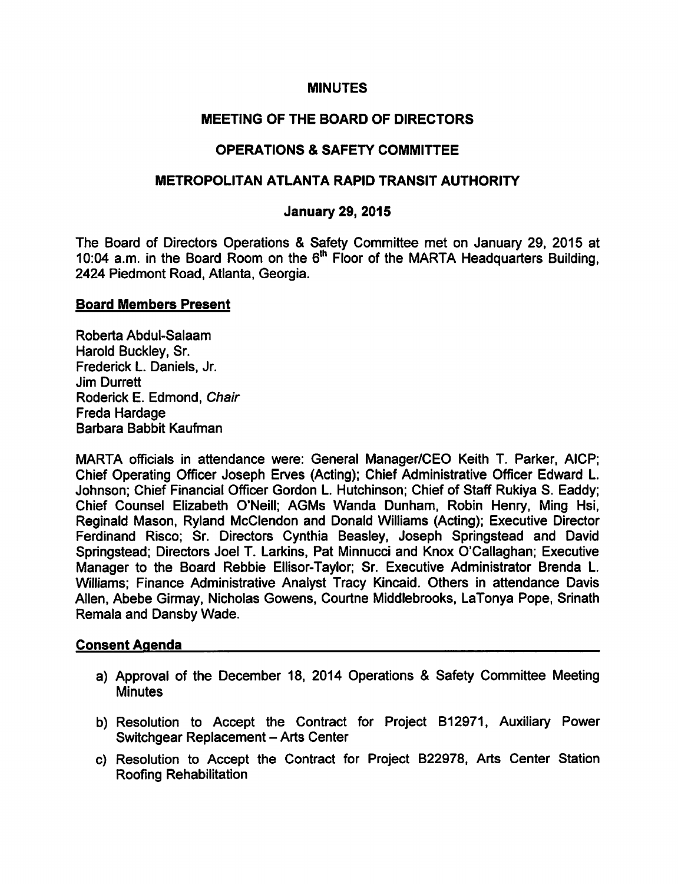### MINUTES

# MEETING OF THE BOARD OF DIRECTORS

# **OPERATIONS & SAFETY COMMITTEE**

### METROPOLITAN ATLANTA RAPID TRANSIT AUTHORITY

#### January 29, 2015

The Board of Directors Operations & Safety Committee met on January 29, 2015 at 10:04 a.m. in the Board Room on the  $6<sup>th</sup>$  Floor of the MARTA Headquarters Building, 2424 Piedmont Road, Atlanta, Georgia.

#### Board Members Present

Roberta Abdul-Salaam Harold Buckley, Sr. Frederick L. Daniels, Jr. Jim Durrett Roderick E. Edmond, Chair Freda Hardage Barbara Babbit Kaufman

MARTA officials in attendance were: General Manager/CEO Keith T. Parker, AICP; Chief Operating Officer Joseph Erves (Acting); Chief Administrative Officer Edward L. Johnson; Chief Financial Officer Gordon L. Hutchinson; Chief of Staff Rukiya S. Eaddy; Chief Counsel Elizabeth O'Neill; AGMs Wanda Dunham, Robin Henry, Ming Hsi, Reginald Mason, Ryland McClendon and Donald Williams (Acting); Executive Director Ferdinand Risco; Sr. Directors Cynthia Beasley, Joseph Springstead and David Springstead; Directors Joel T. Larkins, Pat Minnucci and Knox O'Callaghan; Executive Manager to the Board Rebbie Ellisor-Taylor; Sr. Executive Administrator Brenda L. Williams; Finance Administrative Analyst Tracy Kincaid. Others in attendance Davis Allen, Abebe Girmay, Nicholas Gowens, Courtne Middlebrooks, LaTonya Pope, Srinath Remala and Dansby Wade.

## Consent Agenda

- a) Approval of the December 18, 2014 Operations & Safety Committee Meeting **Minutes**
- b) Resolution to Accept the Contract for Project B12971, Auxiliary Power Switchgear Replacement - Arts Center
- c) Resolution to Accept the Contract for Project B22978, Arts Center Station Roofing Rehabilitation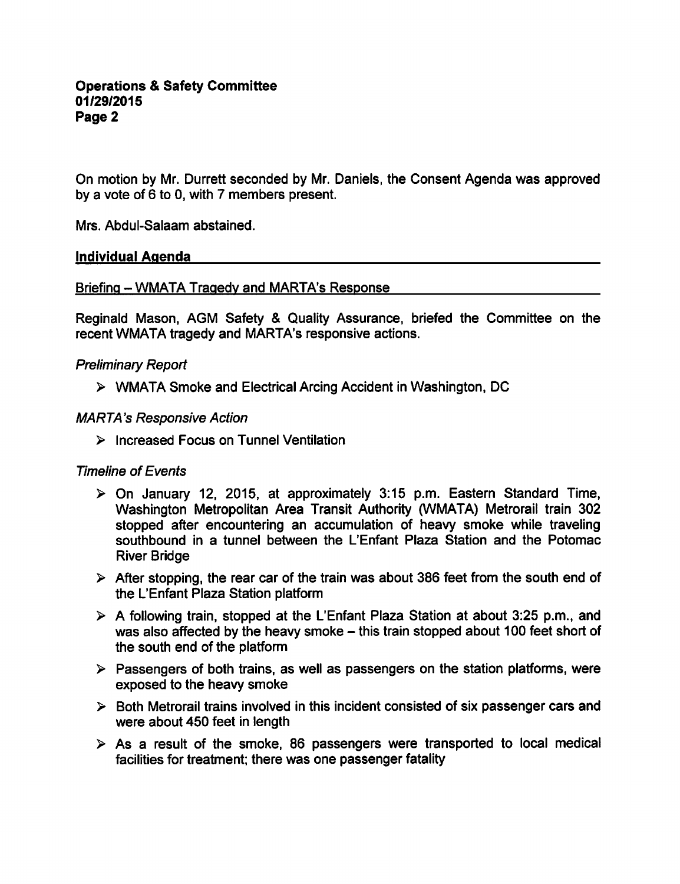On motion by Mr. Durrett seconded by Mr. Daniels, the Consent Agenda was approved by a vote of  $6$  to 0, with  $7$  members present.

Mrs. Abdul-Salaam abstained.

### Individual Agenda

Briefing - WMATA Tragedy and MARTA's Response

Reginald Mason, AGM Safety & Quality Assurance, briefed the Committee on the recent WMATA tragedy and MARTA's responsive actions.

### Preliminary Report

WMATA Smoke and Electrical Arcing Accident in Washington, DC

### MARTA's Responsive Action

 $\triangleright$  Increased Focus on Tunnel Ventilation

## Timeline of Events

- On January 12, 2015, at approximately 3:15 p.m. Eastern Standard Time, Washington Metropolitan Area Transit Authority (WMATA) Metrorail train 302 stopped after encountering an accumulation of heavy smoke while traveling southbound in a tunnel between the L'Enfant Plaza Station and the Potomac River Bridge
- $\triangleright$  After stopping, the rear car of the train was about 386 feet from the south end of the L'Enfant Plaza Station platform
- $\triangleright$  A following train, stopped at the L'Enfant Plaza Station at about 3:25 p.m., and was also affected by the heavy smoke  $-$  this train stopped about 100 feet short of the south end of the platform
- $\triangleright$  Passengers of both trains, as well as passengers on the station platforms, were exposed to the heavy smoke
- $\triangleright$  Both Metrorail trains involved in this incident consisted of six passenger cars and were about 450 feet in length
- $\triangleright$  As a result of the smoke, 86 passengers were transported to local medical facilities for treatment; there was one passenger fatality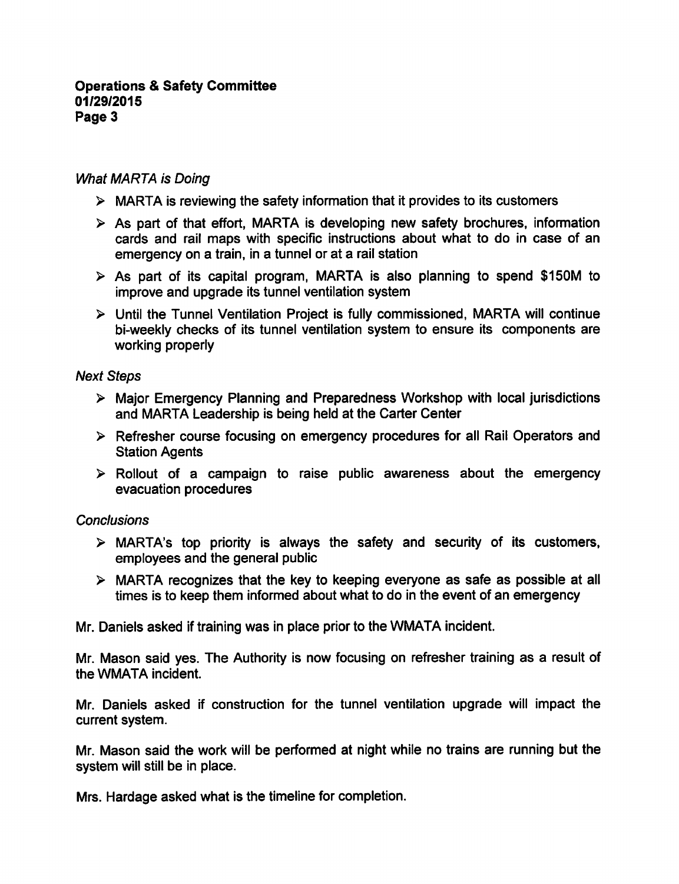### **Operations & Safety Committee** 01/29/2015 Page 3

## What MARTA is Doing

- $\triangleright$  MARTA is reviewing the safety information that it provides to its customers
- $\triangleright$  As part of that effort, MARTA is developing new safety brochures, information cards and rail maps with specific instructions about what to do in case of an emergency on a train, in a tunnel or at a rail station
- $\triangleright$  As part of its capital program, MARTA is also planning to spend \$150M to improve and upgrade its tunnel ventilation system
- Until the Tunnel Ventilation Project is fully commissioned, MARTA will continue bi-weekly checks of its tunnel ventilation system to ensure its components are working properly

### Next Steps

- Major Emergency Planning and Preparedness Workshop with local jurisdictions and MARTA Leadership is being held at the Carter Center
- Refresher course focusing on emergency procedures for all Rail Operators and Station Agents
- $\triangleright$  Rollout of a campaign to raise public awareness about the emergency evacuation procedures

## **Conclusions**

- $\triangleright$  MARTA's top priority is always the safety and security of its customers, employees and the general public
- MARTA recognizes that the key to keeping everyone as safe as possible at all times is to keep them informed about what to do in the event of an emergency

Mr. Daniels asked if training was in place prior to the WMATA incident.

Mr. Mason said yes. The Authority is now focusing on refresher training as a result of the WMATA incident.

Mr. Daniels asked if construction for the tunnel ventilation upgrade will impact the current system.

Mr. Mason said the work will be performed at night while no trains are running but the system will still be in place.

Mrs. Hardage asked what is the timeline for completion.